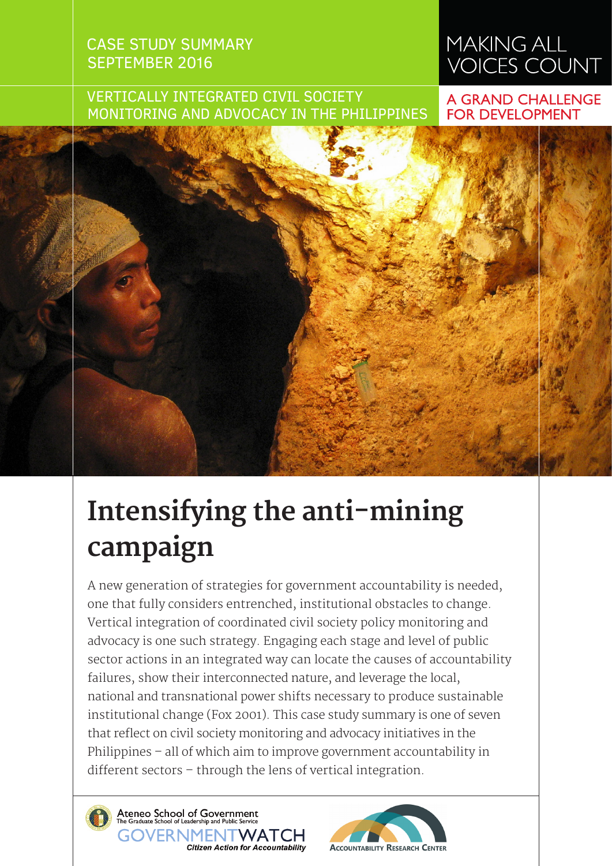## CASE STUDY SUMMARY SEPTEMBER 2016

# **MAKING ALL** VOICES COUNT

### VERTICALLY INTEGRATED CIVIL SOCIETY MONITORING AND ADVOCACY IN THE PHILIPPINES

#### **A GRAND CHALLENGE FOR DEVELOPMENT**

# **Intensifying the anti-mining campaign**

A new generation of strategies for government accountability is needed, one that fully considers entrenched, institutional obstacles to change. Vertical integration of coordinated civil society policy monitoring and advocacy is one such strategy. Engaging each stage and level of public sector actions in an integrated way can locate the causes of accountability failures, show their interconnected nature, and leverage the local, national and transnational power shifts necessary to produce sustainable institutional change (Fox 2001). This case study summary is one of seven that reflect on civil society monitoring and advocacy initiatives in the Philippines – all of which aim to improve government accountability in different sectors – through the lens of vertical integration.



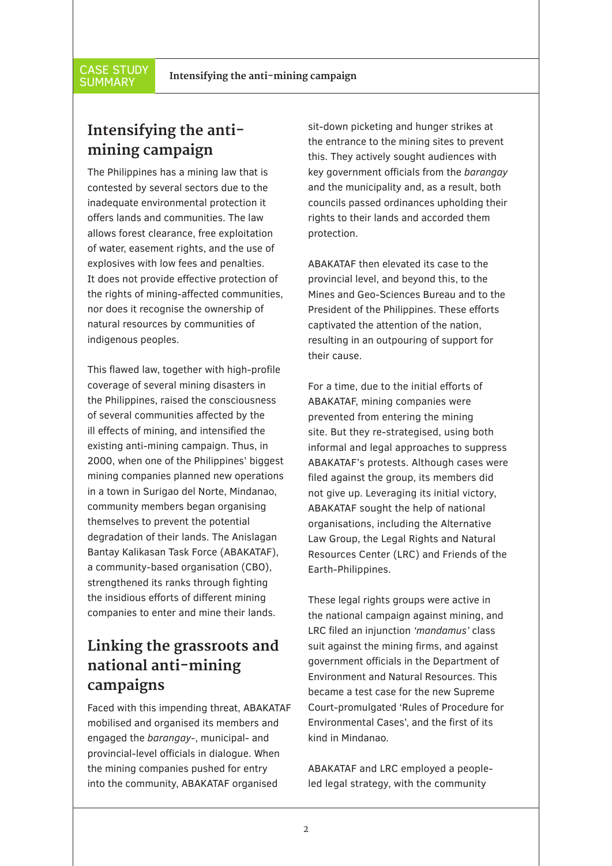**SUMMARY** 

# **Intensifying the antimining campaign**

The Philippines has a mining law that is contested by several sectors due to the inadequate environmental protection it offers lands and communities. The law allows forest clearance, free exploitation of water, easement rights, and the use of explosives with low fees and penalties. It does not provide effective protection of the rights of mining-affected communities, nor does it recognise the ownership of natural resources by communities of indigenous peoples.

This flawed law, together with high-profile coverage of several mining disasters in the Philippines, raised the consciousness of several communities affected by the ill effects of mining, and intensified the existing anti-mining campaign. Thus, in 2000, when one of the Philippines' biggest mining companies planned new operations in a town in Surigao del Norte, Mindanao, community members began organising themselves to prevent the potential degradation of their lands. The Anislagan Bantay Kalikasan Task Force (ABAKATAF), a community-based organisation (CBO), strengthened its ranks through fighting the insidious efforts of different mining companies to enter and mine their lands.

# **Linking the grassroots and national anti-mining campaigns**

Faced with this impending threat, ABAKATAF mobilised and organised its members and engaged the *barangay*-, municipal- and provincial-level officials in dialogue. When the mining companies pushed for entry into the community, ABAKATAF organised

sit-down picketing and hunger strikes at the entrance to the mining sites to prevent this. They actively sought audiences with key government officials from the *barangay* and the municipality and, as a result, both councils passed ordinances upholding their rights to their lands and accorded them protection.

ABAKATAF then elevated its case to the provincial level, and beyond this, to the Mines and Geo-Sciences Bureau and to the President of the Philippines. These efforts captivated the attention of the nation, resulting in an outpouring of support for their cause.

For a time, due to the initial efforts of ABAKATAF, mining companies were prevented from entering the mining site. But they re-strategised, using both informal and legal approaches to suppress ABAKATAF's protests. Although cases were filed against the group, its members did not give up. Leveraging its initial victory, ABAKATAF sought the help of national organisations, including the Alternative Law Group, the Legal Rights and Natural Resources Center (LRC) and Friends of the Earth-Philippines.

These legal rights groups were active in the national campaign against mining, and LRC filed an injunction *'mandamus'* class suit against the mining firms, and against government officials in the Department of Environment and Natural Resources. This became a test case for the new Supreme Court-promulgated 'Rules of Procedure for Environmental Cases', and the first of its kind in Mindanao.

ABAKATAF and LRC employed a peopleled legal strategy, with the community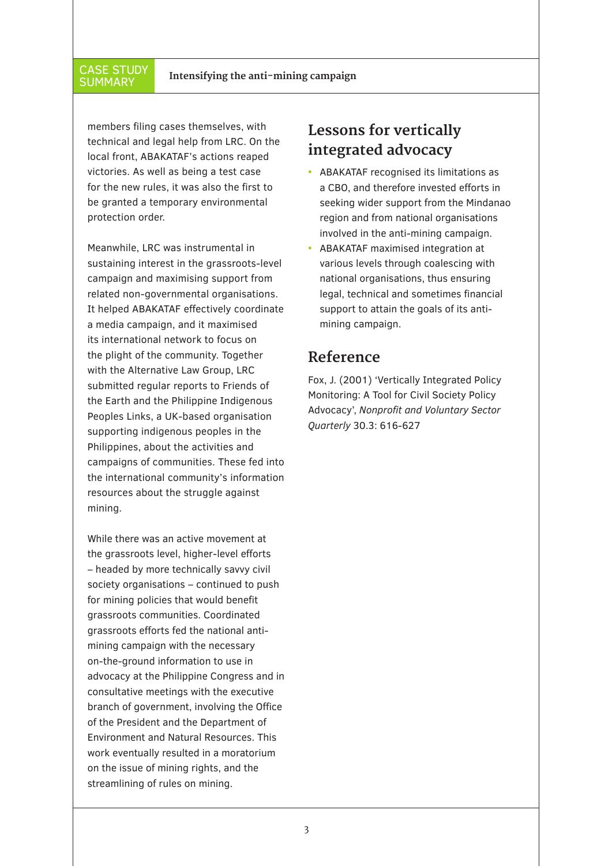#### CASE STUDY **SUMMARY**

members filing cases themselves, with technical and legal help from LRC. On the local front, ABAKATAF's actions reaped victories. As well as being a test case for the new rules, it was also the first to be granted a temporary environmental protection order.

Meanwhile, LRC was instrumental in sustaining interest in the grassroots-level campaign and maximising support from related non-governmental organisations. It helped ABAKATAF effectively coordinate a media campaign, and it maximised its international network to focus on the plight of the community. Together with the Alternative Law Group, LRC submitted regular reports to Friends of the Earth and the Philippine Indigenous Peoples Links, a UK-based organisation supporting indigenous peoples in the Philippines, about the activities and campaigns of communities. These fed into the international community's information resources about the struggle against mining.

While there was an active movement at the grassroots level, higher-level efforts – headed by more technically savvy civil society organisations – continued to push for mining policies that would benefit grassroots communities. Coordinated grassroots efforts fed the national antimining campaign with the necessary on-the-ground information to use in advocacy at the Philippine Congress and in consultative meetings with the executive branch of government, involving the Office of the President and the Department of Environment and Natural Resources. This work eventually resulted in a moratorium on the issue of mining rights, and the streamlining of rules on mining.

# **Lessons for vertically integrated advocacy**

- **•** ABAKATAF recognised its limitations as a CBO, and therefore invested efforts in seeking wider support from the Mindanao region and from national organisations involved in the anti-mining campaign.
- **•** ABAKATAF maximised integration at various levels through coalescing with national organisations, thus ensuring legal, technical and sometimes financial support to attain the goals of its antimining campaign.

#### **Reference**

Fox, J. (2001) 'Vertically Integrated Policy Monitoring: A Tool for Civil Society Policy Advocacy', *Nonprofit and Voluntary Sector Quarterly* 30.3: 616-627